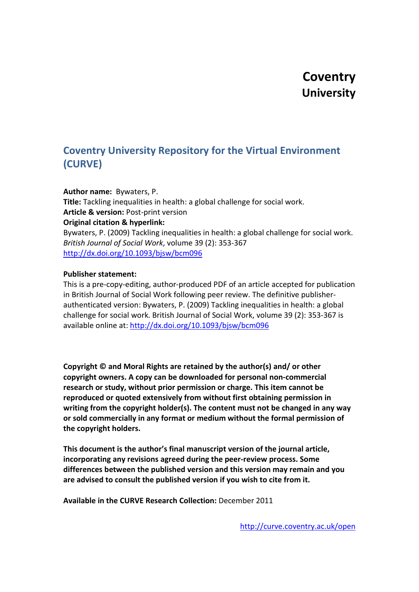# **Coventry University**

# **Coventry University Repository for the Virtual Environment (CURVE)**

**Author name:** Bywaters, P. **Title:** Tackling inequalities in health: a global challenge for social work. **Article & version:** Post-print version **Original citation & hyperlink:** Bywaters, P. (2009) Tackling inequalities in health: a global challenge for social work. *British Journal of Social Work*, volume 39 (2): 353-367

<http://dx.doi.org/10.1093/bjsw/bcm096>

# **Publisher statement:**

This is a pre-copy-editing, author-produced PDF of an article accepted for publication in British Journal of Social Work following peer review. The definitive publisherauthenticated version: Bywaters, P. (2009) Tackling inequalities in health: a global challenge for social work. British Journal of Social Work, volume 39 (2): 353-367 is available online at[: http://dx.doi.org/10.1093/bjsw/bcm096](http://dx.doi.org/10.1093/bjsw/bcm096)

**Copyright © and Moral Rights are retained by the author(s) and/ or other copyright owners. A copy can be downloaded for personal non-commercial research or study, without prior permission or charge. This item cannot be reproduced or quoted extensively from without first obtaining permission in writing from the copyright holder(s). The content must not be changed in any way or sold commercially in any format or medium without the formal permission of the copyright holders.**

**This document is the author's final manuscript version of the journal article, incorporating any revisions agreed during the peer-review process. Some differences between the published version and this version may remain and you are advised to consult the published version if you wish to cite from it.**

**Available in the CURVE Research Collection:** December 2011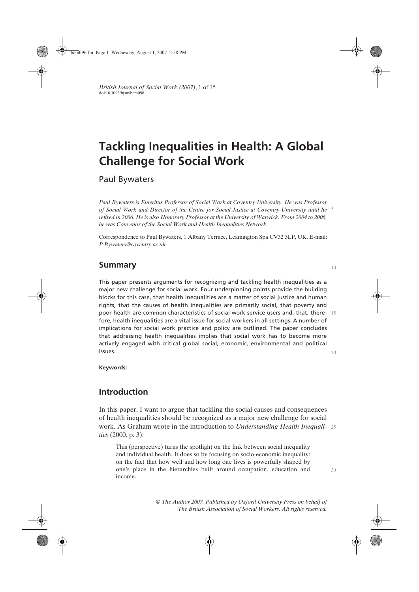bcm096.fm Page 1 Wednesday, August 1, 2007 2:58 PM

*British Journal of Social Work (2007)*, 1 of 15 doi:10.1093/bjsw/bcm09

# **Tackling Inequalities in Health: A Global Challenge for Social Work**

# Paul Bywaters

*Paul Bywaters is Emeritus Professor of Social Work at Coventry University. He was Professor of Social Work and Director of the Centre for Social Justice at Coventry University until he* 5 *retired in 2006. He is also Honorary Professor at the University of Warwick. From 2004 to 2006, he was Convenor of the Social Work and Health Inequalities Network.*

Correspondence to Paul Bywaters, 1 Albany Terrace, Leamington Spa CV32 5LP, UK. E-mail: *P.Bywaters@coventry.ac.uk*

10

30

## **Summary**

This paper presents arguments for recognizing and tackling health inequalities as a major new challenge for social work. Four underpinning points provide the building blocks for this case, that health inequalities are a matter of social justice and human rights, that the causes of health inequalities are primarily social, that poverty and poor health are common characteristics of social work service users and, that, there-15 fore, health inequalities are a vital issue for social workers in all settings. A number of implications for social work practice and policy are outlined. The paper concludes that addressing health inequalities implies that social work has to become more actively engaged with critical global social, economic, environmental and political issues. 20

**Keywords:** 

# **Introduction**

In this paper, I want to argue that tackling the social causes and consequences of health inequalities should be recognized as a major new challenge for social work. As Graham wrote in the introduction to *Understanding Health Inequali-*25 *ties* (2000, p. 3):

This (perspective) turns the spotlight on the link between social inequality and individual health. It does so by focusing on socio-economic inequality: on the fact that how well and how long one lives is powerfully shaped by one's place in the hierarchies built around occupation, education and income.

> *© The Author 2007. Published by Oxford University Press on behalf of The British Association of Social Workers. All rights reserved.*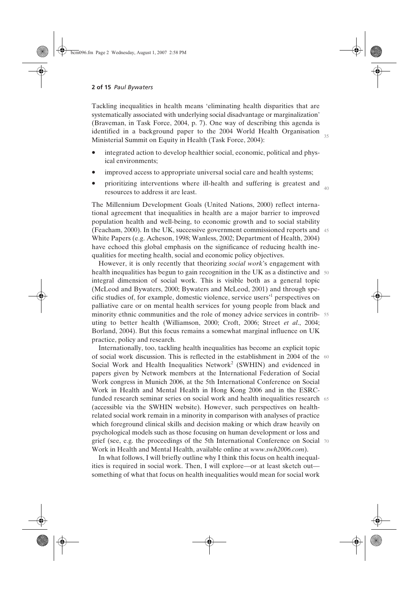Tackling inequalities in health means 'eliminating health disparities that are systematically associated with underlying social disadvantage or marginalization' (Braveman, in Task Force, 2004, p. 7). One way of describing this agenda is identified in a background paper to the 2004 World Health Organisation Ministerial Summit on Equity in Health (Task Force, 2004): 35

- integrated action to develop healthier social, economic, political and physical environments;
- improved access to appropriate universal social care and health systems;
- prioritizing interventions where ill-health and suffering is greatest and  $\frac{40}{40}$ resources to address it are least.

The Millennium Development Goals (United Nations, 2000) reflect international agreement that inequalities in health are a major barrier to improved population health and well-being, to economic growth and to social stability (Feacham, 2000). In the UK, successive government commissioned reports and 45 White Papers (e.g. Acheson, 1998; Wanless, 2002; Department of Health, 2004) have echoed this global emphasis on the significance of reducing health inequalities for meeting health, social and economic policy objectives.

However, it is only recently that theorizing *social work*'s engagement with health inequalities has begun to gain recognition in the UK as a distinctive and 50 integral dimension of social work. This is visible both as a general topic (McLeod and Bywaters, 2000; Bywaters and McLeod, 2001) and through specific studies of, for example, domestic violence, service users'<sup>1</sup> perspectives on palliative care or on mental health services for young people from black and minority ethnic communities and the role of money advice services in contrib-55 uting to better health (Williamson, 2000; Croft, 2006; Street *et al*., 2004; Borland, 2004). But this focus remains a somewhat marginal influence on UK practice, policy and research.

Internationally, too, tackling health inequalities has become an explicit topic of social work discussion. This is reflected in the establishment in 2004 of the 60 Social Work and Health Inequalities Network<sup>2</sup> (SWHIN) and evidenced in papers given by Network members at the International Federation of Social Work congress in Munich 2006, at the 5th International Conference on Social Work in Health and Mental Health in Hong Kong 2006 and in the ESRCfunded research seminar series on social work and health inequalities research 65 (accessible via the SWHIN website). However, such perspectives on healthrelated social work remain in a minority in comparison with analyses of practice which foreground clinical skills and decision making or which draw heavily on psychological models such as those focusing on human development or loss and grief (see, e.g. the proceedings of the 5th International Conference on Social 70 Work in Health and Mental Health, available online at *www.swh2006.com*).

In what follows, I will briefly outline why I think this focus on health inequalities is required in social work. Then, I will explore—or at least sketch out something of what that focus on health inequalities would mean for social work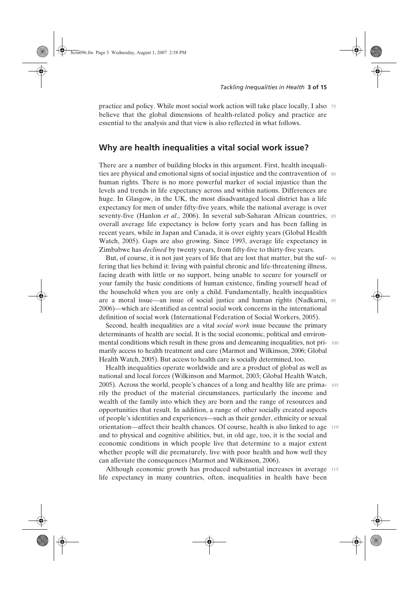*Tackling Inequalities in Health* **3 of 15**

practice and policy. While most social work action will take place locally, I also 75 believe that the global dimensions of health-related policy and practice are essential to the analysis and that view is also reflected in what follows.

# **Why are health inequalities a vital social work issue?**

There are a number of building blocks in this argument. First, health inequalities are physical and emotional signs of social injustice and the contravention of 80 human rights. There is no more powerful marker of social injustice than the levels and trends in life expectancy across and within nations. Differences are huge. In Glasgow, in the UK, the most disadvantaged local district has a life expectancy for men of under fifty-five years, while the national average is over seventy-five (Hanlon *et al*., 2006). In several sub-Saharan African countries, 85 overall average life expectancy is below forty years and has been falling in recent years, while in Japan and Canada, it is over eighty years (Global Health Watch, 2005). Gaps are also growing. Since 1993, average life expectancy in Zimbabwe has *declined* by twenty years, from fifty-five to thirty-five years.

But, of course, it is not just years of life that are lost that matter, but the suf- 90 fering that lies behind it: living with painful chronic and life-threatening illness, facing death with little or no support, being unable to secure for yourself or your family the basic conditions of human existence, finding yourself head of the household when you are only a child. Fundamentally, health inequalities are a moral issue—an issue of social justice and human rights (Nadkarni, 95 2006)—which are identified as central social work concerns in the international definition of social work (International Federation of Social Workers, 2005).

Second, health inequalities are a vital *social work* issue because the primary determinants of health are social. It is the social economic, political and environmental conditions which result in these gross and demeaning inequalities, not pri- 100 marily access to health treatment and care (Marmot and Wilkinson, 2006; Global Health Watch, 2005). But access to health care is socially determined, too.

Health inequalities operate worldwide and are a product of global as well as national and local forces (Wilkinson and Marmot, 2003; Global Health Watch, 2005). Across the world, people's chances of a long and healthy life are prima-105 rily the product of the material circumstances, particularly the income and wealth of the family into which they are born and the range of resources and opportunities that result. In addition, a range of other socially created aspects of people's identities and experiences—such as their gender, ethnicity or sexual orientation—affect their health chances. Of course, health is also linked to age 110 and to physical and cognitive abilities, but, in old age, too, it is the social and economic conditions in which people live that determine to a major extent whether people will die prematurely, live with poor health and how well they can alleviate the consequences (Marmot and Wilkinson, 2006).

Although economic growth has produced substantial increases in average 115 life expectancy in many countries, often, inequalities in health have been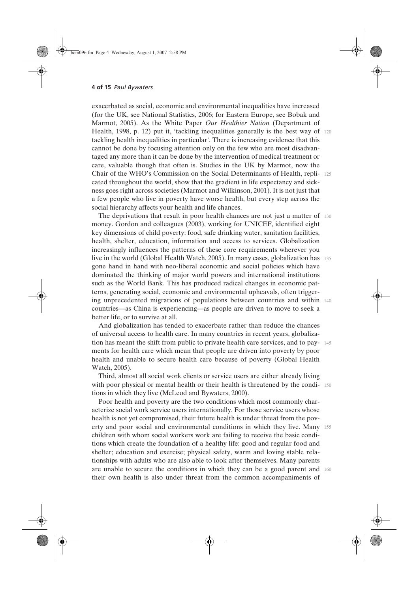exacerbated as social, economic and environmental inequalities have increased (for the UK, see National Statistics, 2006; for Eastern Europe, see Bobak and Marmot, 2005). As the White Paper *Our Healthier Nation* (Department of Health, 1998, p. 12) put it, 'tackling inequalities generally is the best way of 120 tackling health inequalities in particular'. There is increasing evidence that this cannot be done by focusing attention only on the few who are most disadvantaged any more than it can be done by the intervention of medical treatment or care, valuable though that often is. Studies in the UK by Marmot, now the Chair of the WHO's Commission on the Social Determinants of Health, repli-125 cated throughout the world, show that the gradient in life expectancy and sickness goes right across societies (Marmot and Wilkinson, 2001). It is not just that a few people who live in poverty have worse health, but every step across the social hierarchy affects your health and life chances.

The deprivations that result in poor health chances are not just a matter of 130 money. Gordon and colleagues (2003), working for UNICEF, identified eight key dimensions of child poverty: food, safe drinking water, sanitation facilities, health, shelter, education, information and access to services. Globalization increasingly influences the patterns of these core requirements wherever you live in the world (Global Health Watch, 2005). In many cases, globalization has 135 gone hand in hand with neo-liberal economic and social policies which have dominated the thinking of major world powers and international institutions such as the World Bank. This has produced radical changes in economic patterns, generating social, economic and environmental upheavals, often triggering unprecedented migrations of populations between countries and within 140 countries—as China is experiencing—as people are driven to move to seek a better life, or to survive at all.

And globalization has tended to exacerbate rather than reduce the chances of universal access to health care. In many countries in recent years, globalization has meant the shift from public to private health care services, and to pay-145 ments for health care which mean that people are driven into poverty by poor health and unable to secure health care because of poverty (Global Health Watch, 2005).

Third, almost all social work clients or service users are either already living with poor physical or mental health or their health is threatened by the condi-150 tions in which they live (McLeod and Bywaters, 2000).

Poor health and poverty are the two conditions which most commonly characterize social work service users internationally. For those service users whose health is not yet compromised, their future health is under threat from the poverty and poor social and environmental conditions in which they live. Many 155 children with whom social workers work are failing to receive the basic conditions which create the foundation of a healthy life: good and regular food and shelter; education and exercise; physical safety, warm and loving stable relationships with adults who are also able to look after themselves. Many parents are unable to secure the conditions in which they can be a good parent and 160 their own health is also under threat from the common accompaniments of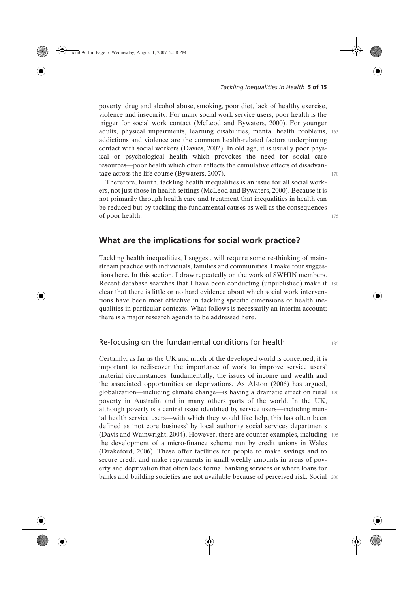#### *Tackling Inequalities in Health* **5 of 15**

175

185

poverty: drug and alcohol abuse, smoking, poor diet, lack of healthy exercise, violence and insecurity. For many social work service users, poor health is the trigger for social work contact (McLeod and Bywaters, 2000). For younger adults, physical impairments, learning disabilities, mental health problems, 165 addictions and violence are the common health-related factors underpinning contact with social workers (Davies, 2002). In old age, it is usually poor physical or psychological health which provokes the need for social care resources—poor health which often reflects the cumulative effects of disadvantage across the life course (Bywaters, 2007). 170

Therefore, fourth, tackling health inequalities is an issue for all social workers, not just those in health settings (McLeod and Bywaters, 2000). Because it is not primarily through health care and treatment that inequalities in health can be reduced but by tackling the fundamental causes as well as the consequences of poor health.

## **What are the implications for social work practice?**

Tackling health inequalities, I suggest, will require some re-thinking of mainstream practice with individuals, families and communities. I make four suggestions here. In this section, I draw repeatedly on the work of SWHIN members. Recent database searches that I have been conducting (unpublished) make it 180 clear that there is little or no hard evidence about which social work interventions have been most effective in tackling specific dimensions of health inequalities in particular contexts. What follows is necessarily an interim account; there is a major research agenda to be addressed here.

## Re-focusing on the fundamental conditions for health

Certainly, as far as the UK and much of the developed world is concerned, it is important to rediscover the importance of work to improve service users' material circumstances: fundamentally, the issues of income and wealth and the associated opportunities or deprivations. As Alston (2006) has argued, globalization—including climate change—is having a dramatic effect on rural 190 poverty in Australia and in many others parts of the world. In the UK, although poverty is a central issue identified by service users—including mental health service users—with which they would like help, this has often been defined as 'not core business' by local authority social services departments (Davis and Wainwright, 2004). However, there are counter examples, including 195 the development of a micro-finance scheme run by credit unions in Wales (Drakeford, 2006). These offer facilities for people to make savings and to secure credit and make repayments in small weekly amounts in areas of poverty and deprivation that often lack formal banking services or where loans for banks and building societies are not available because of perceived risk. Social 200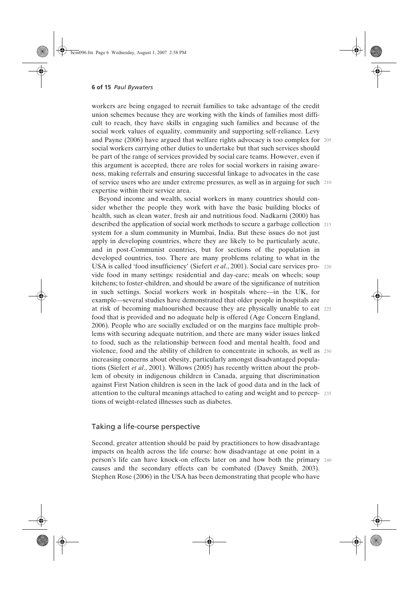workers are being engaged to recruit families to take advantage of the credit union schemes because they are working with the kinds of families most difficult to reach, they have skills in engaging such families and because of the social work values of equality, community and supporting self-reliance. Levy and Payne (2006) have argued that welfare rights advocacy is too complex for 205 social workers carrying other duties to undertake but that such services should be part of the range of services provided by social care teams. However, even if this argument is accepted, there are roles for social workers in raising awareness, making referrals and ensuring successful linkage to advocates in the case of service users who are under extreme pressures, as well as in arguing for such 210 expertise within their service area.

Beyond income and wealth, social workers in many countries should consider whether the people they work with have the basic building blocks of health, such as clean water, fresh air and nutritious food. Nadkarni (2000) has described the application of social work methods to secure a garbage collection 215 system for a slum community in Mumbai, India. But these issues do not just apply in developing countries, where they are likely to be particularly acute, and in post-Communist countries, but for sections of the population in developed countries, too. There are many problems relating to what in the USA is called 'food insufficiency' (Siefert *et al*., 2001). Social care services pro-220 vide food in many settings: residential and day-care; meals on wheels; soup kitchens; to foster-children, and should be aware of the significance of nutrition in such settings. Social workers work in hospitals where—in the UK, for example—several studies have demonstrated that older people in hospitals are at risk of becoming malnourished because they are physically unable to eat 225 food that is provided and no adequate help is offered (Age Concern England, 2006). People who are socially excluded or on the margins face multiple problems with securing adequate nutrition, and there are many wider issues linked to food, such as the relationship between food and mental health, food and violence, food and the ability of children to concentrate in schools, as well as 230 increasing concerns about obesity, particularly amongst disadvantaged populations (Siefert *et al*., 2001). Willows (2005) has recently written about the problem of obesity in indigenous children in Canada, arguing that discrimination against First Nation children is seen in the lack of good data and in the lack of attention to the cultural meanings attached to eating and weight and to percep-235 tions of weight-related illnesses such as diabetes.

## Taking a life-course perspective

Second, greater attention should be paid by practitioners to how disadvantage impacts on health across the life course: how disadvantage at one point in a person's life can have knock-on effects later on and how both the primary 240 causes and the secondary effects can be combated (Davey Smith, 2003). Stephen Rose (2006) in the USA has been demonstrating that people who have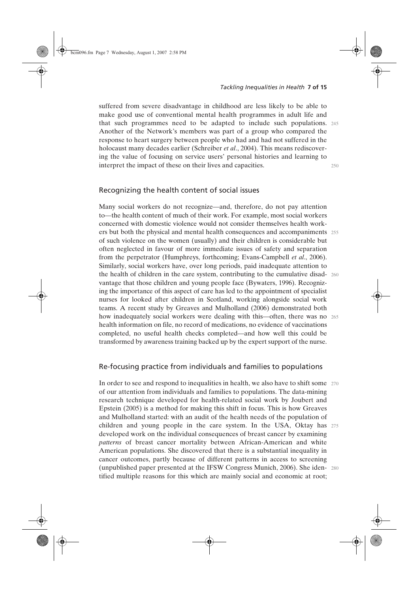#### *Tackling Inequalities in Health* **7 of 15**

suffered from severe disadvantage in childhood are less likely to be able to make good use of conventional mental health programmes in adult life and that such programmes need to be adapted to include such populations. 245 Another of the Network's members was part of a group who compared the response to heart surgery between people who had and had not suffered in the holocaust many decades earlier (Schreiber *et al*., 2004). This means rediscovering the value of focusing on service users' personal histories and learning to interpret the impact of these on their lives and capacities. 250

#### Recognizing the health content of social issues

Many social workers do not recognize—and, therefore, do not pay attention to—the health content of much of their work. For example, most social workers concerned with domestic violence would not consider themselves health workers but both the physical and mental health consequences and accompaniments 255 of such violence on the women (usually) and their children is considerable but often neglected in favour of more immediate issues of safety and separation from the perpetrator (Humphreys, forthcoming; Evans-Campbell *et al*., 2006). Similarly, social workers have, over long periods, paid inadequate attention to the health of children in the care system, contributing to the cumulative disad-260 vantage that those children and young people face (Bywaters, 1996). Recognizing the importance of this aspect of care has led to the appointment of specialist nurses for looked after children in Scotland, working alongside social work teams. A recent study by Greaves and Mulholland (2006) demonstrated both how inadequately social workers were dealing with this—often, there was no 265 health information on file, no record of medications, no evidence of vaccinations completed, no useful health checks completed—and how well this could be transformed by awareness training backed up by the expert support of the nurse.

## Re-focusing practice from individuals and families to populations

In order to see and respond to inequalities in health, we also have to shift some 270 of our attention from individuals and families to populations. The data-mining research technique developed for health-related social work by Joubert and Epstein (2005) is a method for making this shift in focus. This is how Greaves and Mulholland started: with an audit of the health needs of the population of children and young people in the care system. In the USA, Oktay has 275 developed work on the individual consequences of breast cancer by examining *patterns* of breast cancer mortality between African-American and white American populations. She discovered that there is a substantial inequality in cancer outcomes, partly because of different patterns in access to screening (unpublished paper presented at the IFSW Congress Munich, 2006). She iden-280 tified multiple reasons for this which are mainly social and economic at root;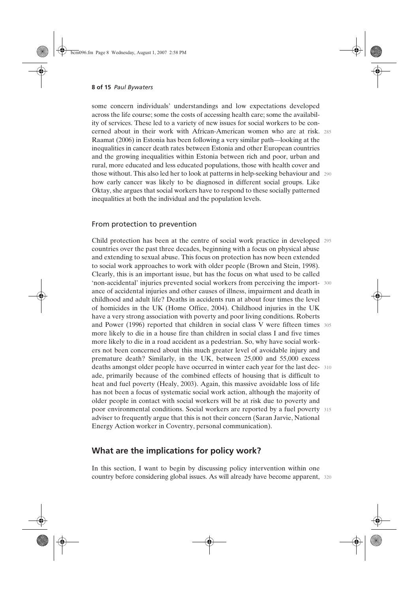some concern individuals' understandings and low expectations developed across the life course; some the costs of accessing health care; some the availability of services. These led to a variety of new issues for social workers to be concerned about in their work with African-American women who are at risk. 285 Raamat (2006) in Estonia has been following a very similar path—looking at the inequalities in cancer death rates between Estonia and other European countries and the growing inequalities within Estonia between rich and poor, urban and rural, more educated and less educated populations, those with health cover and those without. This also led her to look at patterns in help-seeking behaviour and 290 how early cancer was likely to be diagnosed in different social groups. Like Oktay, she argues that social workers have to respond to these socially patterned inequalities at both the individual and the population levels.

#### From protection to prevention

Child protection has been at the centre of social work practice in developed 295 countries over the past three decades, beginning with a focus on physical abuse and extending to sexual abuse. This focus on protection has now been extended to social work approaches to work with older people (Brown and Stein, 1998). Clearly, this is an important issue, but has the focus on what used to be called 'non-accidental' injuries prevented social workers from perceiving the import-300 ance of accidental injuries and other causes of illness, impairment and death in childhood and adult life? Deaths in accidents run at about four times the level of homicides in the UK (Home Office, 2004). Childhood injuries in the UK have a very strong association with poverty and poor living conditions. Roberts and Power (1996) reported that children in social class V were fifteen times 305 more likely to die in a house fire than children in social class I and five times more likely to die in a road accident as a pedestrian. So, why have social workers not been concerned about this much greater level of avoidable injury and premature death? Similarly, in the UK, between 25,000 and 55,000 excess deaths amongst older people have occurred in winter each year for the last dec-310 ade, primarily because of the combined effects of housing that is difficult to heat and fuel poverty (Healy, 2003). Again, this massive avoidable loss of life has not been a focus of systematic social work action, although the majority of older people in contact with social workers will be at risk due to poverty and poor environmental conditions. Social workers are reported by a fuel poverty 315 adviser to frequently argue that this is not their concern (Saran Jarvie, National Energy Action worker in Coventry, personal communication).

# **What are the implications for policy work?**

In this section, I want to begin by discussing policy intervention within one country before considering global issues. As will already have become apparent, 320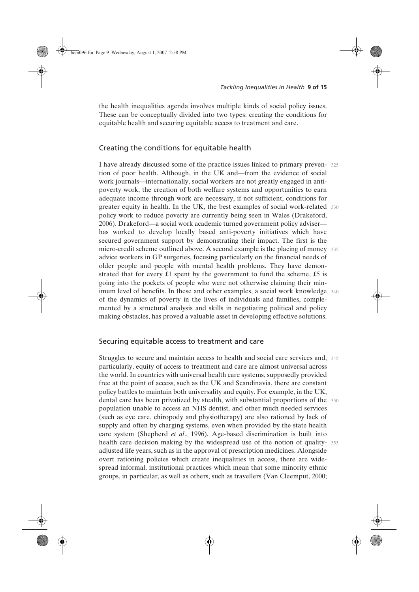*Tackling Inequalities in Health* **9 of 15**

the health inequalities agenda involves multiple kinds of social policy issues. These can be conceptually divided into two types: creating the conditions for equitable health and securing equitable access to treatment and care.

## Creating the conditions for equitable health

I have already discussed some of the practice issues linked to primary preven-325 tion of poor health. Although, in the UK and—from the evidence of social work journals—internationally, social workers are not greatly engaged in antipoverty work, the creation of both welfare systems and opportunities to earn adequate income through work are necessary, if not sufficient, conditions for greater equity in health. In the UK, the best examples of social work-related 330 policy work to reduce poverty are currently being seen in Wales (Drakeford, 2006). Drakeford—a social work academic turned government policy adviser has worked to develop locally based anti-poverty initiatives which have secured government support by demonstrating their impact. The first is the micro-credit scheme outlined above. A second example is the placing of money 335 advice workers in GP surgeries, focusing particularly on the financial needs of older people and people with mental health problems. They have demonstrated that for every £1 spent by the government to fund the scheme, £5 is going into the pockets of people who were not otherwise claiming their minimum level of benefits. In these and other examples, a social work knowledge 340 of the dynamics of poverty in the lives of individuals and families, complemented by a structural analysis and skills in negotiating political and policy making obstacles, has proved a valuable asset in developing effective solutions.

## Securing equitable access to treatment and care

Struggles to secure and maintain access to health and social care services and, 345 particularly, equity of access to treatment and care are almost universal across the world. In countries with universal health care systems, supposedly provided free at the point of access, such as the UK and Scandinavia, there are constant policy battles to maintain both universality and equity. For example, in the UK, dental care has been privatized by stealth, with substantial proportions of the 350 population unable to access an NHS dentist, and other much needed services (such as eye care, chiropody and physiotherapy) are also rationed by lack of supply and often by charging systems, even when provided by the state health care system (Shepherd *et al*., 1996). Age-based discrimination is built into health care decision making by the widespread use of the notion of quality-355 adjusted life years, such as in the approval of prescription medicines. Alongside overt rationing policies which create inequalities in access, there are widespread informal, institutional practices which mean that some minority ethnic groups, in particular, as well as others, such as travellers (Van Cleemput, 2000;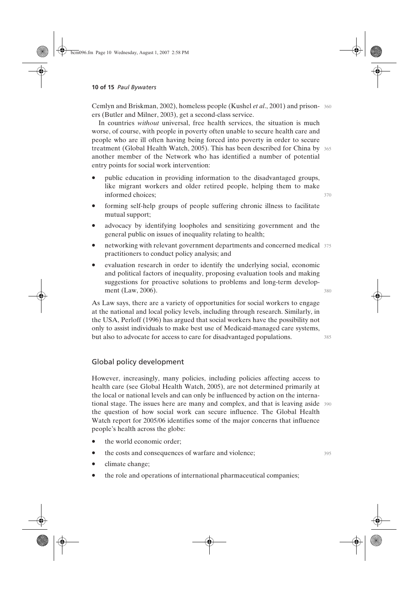Cemlyn and Briskman, 2002), homeless people (Kushel *et al*., 2001) and prison-360 ers (Butler and Milner, 2003), get a second-class service.

In countries *without* universal, free health services, the situation is much worse, of course, with people in poverty often unable to secure health care and people who are ill often having being forced into poverty in order to secure treatment (Global Health Watch, 2005). This has been described for China by 365 another member of the Network who has identified a number of potential entry points for social work intervention:

• public education in providing information to the disadvantaged groups, like migrant workers and older retired people, helping them to make informed choices;

370

380

385

395

- forming self-help groups of people suffering chronic illness to facilitate mutual support;
- advocacy by identifying loopholes and sensitizing government and the general public on issues of inequality relating to health;
- networking with relevant government departments and concerned medical 375 practitioners to conduct policy analysis; and
- evaluation research in order to identify the underlying social, economic and political factors of inequality, proposing evaluation tools and making suggestions for proactive solutions to problems and long-term development (Law, 2006).

As Law says, there are a variety of opportunities for social workers to engage at the national and local policy levels, including through research. Similarly, in the USA, Perloff (1996) has argued that social workers have the possibility not only to assist individuals to make best use of Medicaid-managed care systems, but also to advocate for access to care for disadvantaged populations.

## Global policy development

However, increasingly, many policies, including policies affecting access to health care (see Global Health Watch, 2005), are not determined primarily at the local or national levels and can only be influenced by action on the international stage. The issues here are many and complex, and that is leaving aside 390 the question of how social work can secure influence. The Global Health Watch report for 2005/06 identifies some of the major concerns that influence people's health across the globe:

- the world economic order;
- the costs and consequences of warfare and violence;
- climate change;
- the role and operations of international pharmaceutical companies;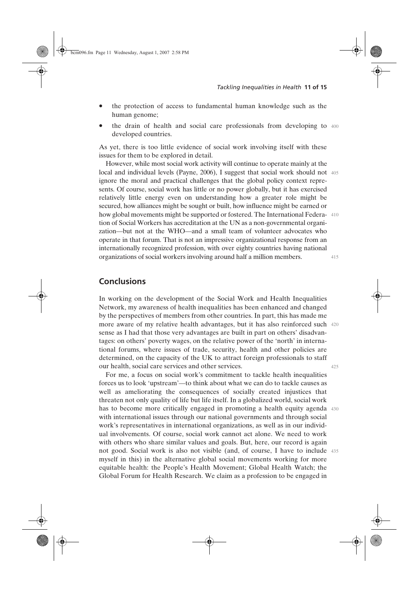bcm096.fm Page 11 Wednesday, August 1, 2007 2:58 PM

*Tackling Inequalities in Health* **11 of 15**

- the protection of access to fundamental human knowledge such as the human genome;
- the drain of health and social care professionals from developing to 400 developed countries.

As yet, there is too little evidence of social work involving itself with these issues for them to be explored in detail.

However, while most social work activity will continue to operate mainly at the local and individual levels (Payne, 2006), I suggest that social work should not 405 ignore the moral and practical challenges that the global policy context represents. Of course, social work has little or no power globally, but it has exercised relatively little energy even on understanding how a greater role might be secured, how alliances might be sought or built, how influence might be earned or how global movements might be supported or fostered. The International Federa-410 tion of Social Workers has accreditation at the UN as a non-governmental organization—but not at the WHO—and a small team of volunteer advocates who operate in that forum. That is not an impressive organizational response from an internationally recognized profession, with over eighty countries having national organizations of social workers involving around half a million members. 415

# **Conclusions**

In working on the development of the Social Work and Health Inequalities Network, my awareness of health inequalities has been enhanced and changed by the perspectives of members from other countries. In part, this has made me more aware of my relative health advantages, but it has also reinforced such 420 sense as I had that those very advantages are built in part on others' disadvantages: on others' poverty wages, on the relative power of the 'north' in international forums, where issues of trade, security, health and other policies are determined, on the capacity of the UK to attract foreign professionals to staff our health, social care services and other services.

For me, a focus on social work's commitment to tackle health inequalities forces us to look 'upstream'—to think about what we can do to tackle causes as well as ameliorating the consequences of socially created injustices that threaten not only quality of life but life itself. In a globalized world, social work has to become more critically engaged in promoting a health equity agenda 430 with international issues through our national governments and through social work's representatives in international organizations, as well as in our individual involvements. Of course, social work cannot act alone. We need to work with others who share similar values and goals. But, here, our record is again not good. Social work is also not visible (and, of course, I have to include 435 myself in this) in the alternative global social movements working for more equitable health: the People's Health Movement; Global Health Watch; the Global Forum for Health Research. We claim as a profession to be engaged in

425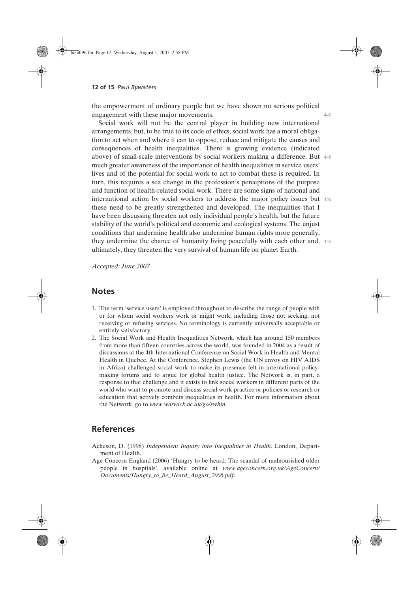the empowerment of ordinary people but we have shown no serious political engagement with these major movements.

Social work will not be the central player in building new international arrangements, but, to be true to its code of ethics, social work has a moral obligation to act when and where it can to oppose, reduce and mitigate the causes and consequences of health inequalities. There is growing evidence (indicated above) of small-scale interventions by social workers making a difference. But 445 much greater awareness of the importance of health inequalities in service users' lives and of the potential for social work to act to combat these is required. In turn, this requires a sea change in the profession's perceptions of the purpose and function of health-related social work. There are some signs of national and international action by social workers to address the major policy issues but 450 these need to be greatly strengthened and developed. The inequalities that I have been discussing threaten not only individual people's health, but the future stability of the world's political and economic and ecological systems. The unjust conditions that undermine health also undermine human rights more generally, they undermine the chance of humanity living peacefully with each other and, 455 ultimately, they threaten the very survival of human life on planet Earth.

*Accepted: June 2007*

### **Notes**

- 1. The term 'service users' is employed throughout to describe the range of people with or for whom social workers work or might work, including those not seeking, not receiving or refusing services. No terminology is currently universally acceptable or entirely satisfactory.
- 2. The Social Work and Health Inequalities Network, which has around 150 members from more than fifteen countries across the world, was founded in 2004 as a result of discussions at the 4th International Conference on Social Work in Health and Mental Health in Quebec. At the Conference, Stephen Lewis (the UN envoy on HIV AIDS in Africa) challenged social work to make its presence felt in international policymaking forums and to argue for global health justice. The Network is, in part, a response to that challenge and it exists to link social workers in different parts of the world who want to promote and discuss social work practice or policies or research or education that actively combats inequalities in health. For more information about the Network, go to *www.warwick.ac.uk/go/swhin*.

# **References**

- Acheson, D. (1998) *Independent Inquiry into Inequalities in Health*, London, Department of Health.
- Age Concern England (2006) 'Hungry to be heard: The scandal of malnourished older people in hospitals', available online at *www.ageconcern.org.uk/AgeConcern/ Documents/Hungry\_to\_be\_Heard\_August\_2006.pdf*.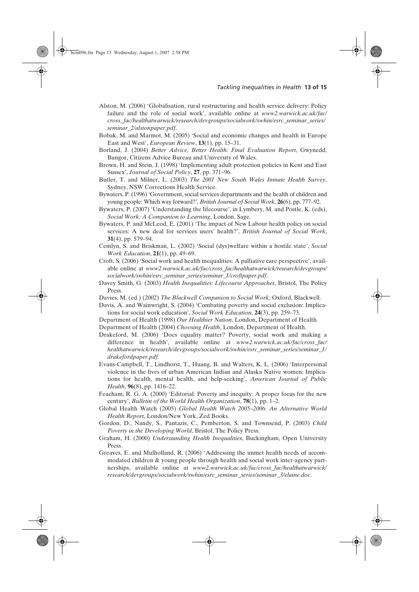bcm096.fm Page 13 Wednesday, August 1, 2007 2:58 PM

#### *Tackling Inequalities in Health* **13 of 15**

- Alston, M. (2006) 'Globalisation, rural restructuring and health service delivery: Policy failure and the role of social work', available online at *www2.warwick.ac.uk/fac/ cross\_fac/healthatwarwick/research/devgroups/socialwork/swhin/esrc\_seminar\_series/ seminar\_2/alstonpaper.pdf*.
- Bobak, M. and Marmot, M. (2005) 'Social and economic changes and health in Europe East and West', *European Review*, **13**(1), pp. 15–31.
- Borland, J. (2004) *Better Advice, Better Health: Final Evaluation Report*, Gwynedd, Bangor, Citizens Advice Bureau and University of Wales.
- Brown, H. and Stein, J. (1998) 'Implementing adult protection policies in Kent and East Sussex', *Journal of Social Policy*, **27**, pp. 371–96.
- Butler, T. and Milner, L. (2003) *The 2001 New South Wales Inmate Health Survey*, Sydney, NSW Corrections Health Service.
- Bywaters, P. (1996) 'Government, social services departments and the health of children and young people: Which way forward?', *British Journal of Social Work*, **26**(6), pp. 777–92.
- Bywaters, P. (2007) 'Understanding the lifecourse', in Lymbery, M. and Postle, K. (eds), *Social Work: A Companion to Learning*, London, Sage.
- Bywaters, P. and McLeod, E. (2001) 'The impact of New Labour health policy on social services: A new deal for services users' health?', *British Journal of Social Work*, **31**(4), pp. 579–94.
- Cemlyn, S. and Briskman, L. (2002) 'Social (dys)welfare within a hostile state', *Social Work Education*, **21**(1), pp. 49–69.
- Croft, S. (2006) 'Social work and health inequalities: A palliative care perspective', available online at *www2.warwick.ac.uk/fac/cross\_fac/healthatwarwick/research/devgroups/ socialwork/swhin/esrc\_seminar\_series/seminar\_1/croftpaper.pdf*.
- Davey Smith, G. (2003) *Health Inequalities: Lifecourse Approaches*, Bristol, The Policy Press.

Davies, M. (ed.) (2002) *The Blackwell Companion to Social Work*, Oxford, Blackwell.

- Davis, A. and Wainwright, S. (2004) 'Combating poverty and social exclusion: Implications for social work education', *Social Work Education*, **24**(3), pp. 259–73.
- Department of Health (1998) *Our Healthier Nation*, London, Department of Health.

Department of Health (2004) *Choosing Health*, London, Department of Health.

- Drakeford, M. (2006) 'Does equality matter? Poverty, social work and making a difference in health', available online at *www2.warwick.ac.uk/fac/cross\_fac/ healthatwarwick/research/devgroups/socialwork/swhin/esrc\_seminar\_series/seminar\_1/ drakefordpaper.pdf*.
- Evans-Campbell, T., Lindhorst, T., Huang, B. and Walters, K. L. (2006) 'Interpersonal violence in the lives of urban American Indian and Alaska Native women: Implications for health, mental health, and help-seeking', *American Journal of Public Health*, **96**(8), pp. 1416–22.
- Feacham, R. G. A. (2000) 'Editorial: Poverty and inequity: A proper focus for the new century', *Bulletin of the World Health Organization*, **78**(1), pp. 1–2.
- Global Health Watch (2005) *Global Health Watch 2005–2006: An Alternative World Health Report*, London/New York, Zed Books.
- Gordon, D., Nandy, S., Pantazis, C., Pemberton, S. and Townsend, P. (2003) *Child Poverty in the Developing World*, Bristol, The Policy Press.
- Graham, H. (2000) *Understanding Health Inequalities*, Buckingham, Open University Press.
- Greaves, E. and Mulholland, R. (2006) 'Addressing the unmet health needs of accommodated children & young people through health and social work inter-agency partnerships, available online at *www2.warwick.ac.uk/fac/cross\_fac/healthatwarwick/ research/devgroups/socialwork/swhin/esrc\_seminar\_series/seminar\_3/elaine.doc*.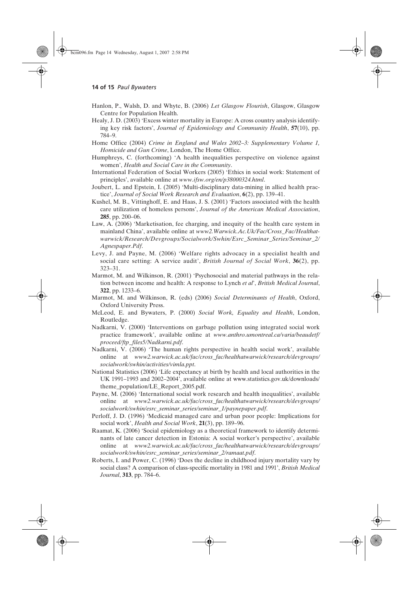- Hanlon, P., Walsh, D. and Whyte, B. (2006) *Let Glasgow Flourish*, Glasgow, Glasgow Centre for Population Health.
- Healy, J. D. (2003) 'Excess winter mortality in Europe: A cross country analysis identifying key risk factors', *Journal of Epidemiology and Community Health*, **57**(10), pp. 784–9.
- Home Office (2004) *Crime in England and Wales 2002–3: Supplementary Volume 1, Homicide and Gun Crime*, London, The Home Office.
- Humphreys, C. (forthcoming) 'A health inequalities perspective on violence against women', *Health and Social Care in the Community*.
- International Federation of Social Workers (2005) 'Ethics in social work: Statement of principles', available online at *www.ifsw.org/en/p38000324.html*.
- Joubert, L. and Epstein, I. (2005) 'Multi-disciplinary data-mining in allied health practice', *Journal of Social Work Research and Evaluation*, **6**(2), pp. 139–41.
- Kushel, M. B., Vittinghoff, E. and Haas, J. S. (2001) 'Factors associated with the health care utilization of homeless persons', *Journal of the American Medical Association*, **285**, pp. 200–06.
- Law, A. (2006) 'Marketisation, fee charging, and inequity of the health care system in mainland China', available online at *www2.Warwick.Ac.Uk/Fac/Cross\_Fac/Healthatwarwick/Research/Devgroups/Socialwork/Swhin/Esrc\_Seminar\_Series/Seminar\_2/ Agnespaper.Pdf*.
- Levy, J. and Payne, M. (2006) 'Welfare rights advocacy in a specialist health and social care setting: A service audit', *British Journal of Social Work*, **36**(2), pp. 323–31.
- Marmot, M. and Wilkinson, R. (2001) 'Psychosocial and material pathways in the relation between income and health: A response to Lynch *et al*', *British Medical Journal*, **322**, pp. 1233–6.
- Marmot, M. and Wilkinson, R. (eds) (2006) *Social Determinants of Health*, Oxford, Oxford University Press.
- McLeod, E. and Bywaters, P. (2000) *Social Work, Equality and Health*, London, Routledge.
- Nadkarni, V. (2000) 'Interventions on garbage pollution using integrated social work practice framework', available online at *www.anthro.umontreal.ca/varia/beaudetf/ proceed/ftp\_files5/Nadkarni.pdf*.
- Nadkarni, V. (2006) 'The human rights perspective in health social work', available online at *www2.warwick.ac.uk/fac/cross\_fac/healthatwarwick/research/devgroups/ socialwork/swhin/activities/vimla.ppt*.
- National Statistics (2006) 'Life expectancy at birth by health and local authorities in the UK 1991–1993 and 2002–2004', available online at www.statistics.gov.uk/downloads/ theme\_population/LE\_Report\_2005.pdf.
- Payne, M. (2006) 'International social work research and health inequalities', available online at *www2.warwick.ac.uk/fac/cross\_fac/healthatwarwick/research/devgroups/ socialwork/swhin/esrc\_seminar\_series/seminar\_1/paynepaper.pdf*.
- Perloff, J. D. (1996) 'Medicaid managed care and urban poor people: Implications for social work', *Health and Social Work*, **21**(3), pp. 189–96.
- Raamat, K. (2006) 'Social epidemiology as a theoretical framework to identify determinants of late cancer detection in Estonia: A social worker's perspective', available online at *www2.warwick.ac.uk/fac/cross\_fac/healthatwarwick/research/devgroups/ socialwork/swhin/esrc\_seminar\_series/seminar\_2/ramaat.pdf*.
- Roberts, I. and Power, C. (1996) 'Does the decline in childhood injury mortality vary by social class? A comparison of class-specific mortality in 1981 and 1991', *British Medical Journal*, **313**, pp. 784–6.